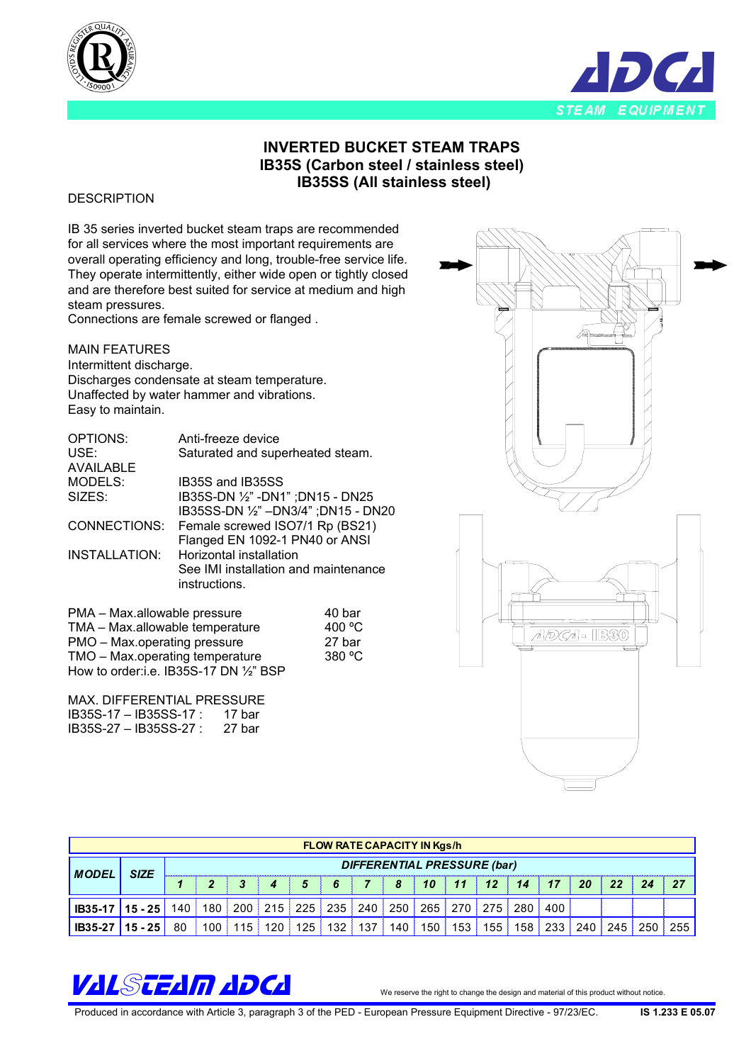



## **INVERTED BUCKET STEAM TRAPS IB35S (Carbon steel / stainless steel) IB35SS (All stainless steel)**

## **DESCRIPTION**

IB 35 series inverted bucket steam traps are recommended for all services where the most important requirements are overall operating efficiency and long, trouble-free service life. They operate intermittently, either wide open or tightly closed and are therefore best suited for service at medium and high steam pressures.

Connections are female screwed or flanged .

## MAIN FEATURES

Intermittent discharge. Discharges condensate at steam temperature. Unaffected by water hammer and vibrations. Easy to maintain.

| OPTIONS:         | Anti-freeze device                   |
|------------------|--------------------------------------|
| USE:             | Saturated and superheated steam.     |
| <b>AVAILABLE</b> |                                      |
| MODELS:          | IB35S and IB35SS                     |
| SIZES:           | IB35S-DN 1/2" - DN1" ; DN15 - DN25   |
|                  | IB35SS-DN 1/2" - DN3/4"; DN15 - DN20 |
| CONNECTIONS:     | Female screwed ISO7/1 Rp (BS21)      |
|                  | Flanged EN 1092-1 PN40 or ANSI       |
| INSTALLATION:    | Horizontal installation              |
|                  | See IMI installation and maintenance |
|                  | instructions.                        |
|                  |                                      |

| PMA - Max.allowable pressure           | 40 bar |
|----------------------------------------|--------|
| TMA - Max.allowable temperature        | 400 °C |
| PMO – Max.operating pressure           | 27 bar |
| TMO - Max.operating temperature        | 380 °C |
| How to order:i.e. IB35S-17 DN 1/2" BSP |        |

MAX. DIFFERENTIAL PRESSURE IB35S-17 – IB35SS-17 : 17 bar IB35S-27 – IB35SS-27 : 27 bar



| <b>FLOW RATE CAPACITY IN Kgs/h</b> |                                            |       |     |     |           |     |         |     |     |             |     |             |     |     |     |     |     |     |
|------------------------------------|--------------------------------------------|-------|-----|-----|-----------|-----|---------|-----|-----|-------------|-----|-------------|-----|-----|-----|-----|-----|-----|
| <b>MODEL</b>                       | DIFFERENTIAL PRESSURE (bar)<br><b>SIZE</b> |       |     |     |           |     |         |     |     |             |     |             |     |     |     |     |     |     |
|                                    |                                            |       |     | 3   |           | 5   | 6       |     | 8   | 10          | 11  | 12          | 14  | 17  | 20  |     | 24  | 27  |
| $IB35-17$                          | $15 - 25$                                  | 140 l | 180 |     | $200$ 215 | 225 | 235 240 |     |     | 250 265 270 |     | $275 \vert$ | 280 | 400 |     |     |     |     |
| <b>IB35-27</b>                     | $15 - 25$                                  | 80    | 100 | 115 | 120       | 125 | 132.    | 137 | 140 | 150         | 153 | 155         | 158 | 233 | 240 | 245 | 250 | 255 |